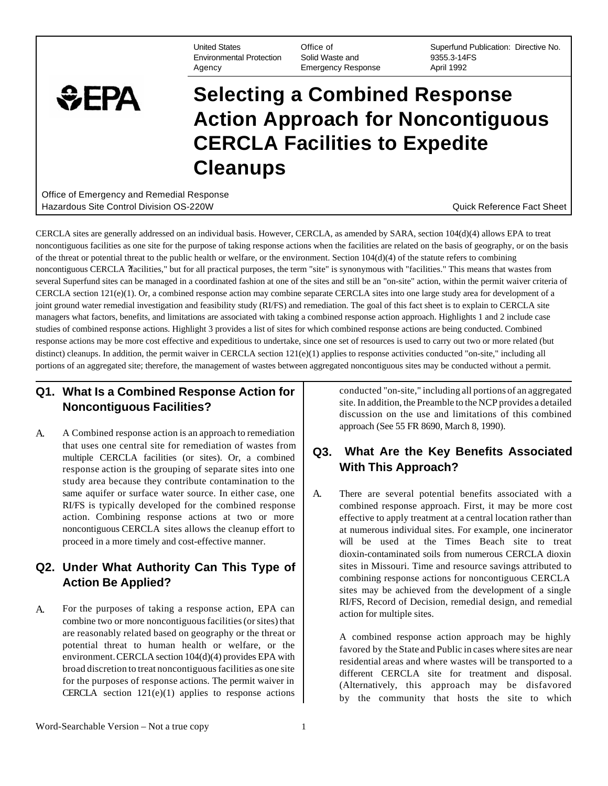United States Environmental Protection Agency

Office of Solid Waste and Emergency Response

Superfund Publication: Directive No. 9355.3-14FS April 1992

### $EPA$ **Selecting a Combined Response Action Approach for Noncontiguous CERCLA Facilities to Expedite Cleanups**

Office of Emergency and Remedial Response Hazardous Site Control Division OS-220W **Dramatic Control Control Control Control Control Control Control Control** 

CERCLA sites are generally addressed on an individual basis. However, CERCLA, as amended by SARA, section 104(d)(4) allows EPA to treat noncontiguous facilities as one site for the purpose of taking response actions when the facilities are related on the basis of geography, or on the basis of the threat or potential threat to the public health or welfare, or the environment. Section 104(d)(4) of the statute refers to combining noncontiguous CERCLA ?facilities," but for all practical purposes, the term "site" is synonymous with "facilities." This means that wastes from several Superfund sites can be managed in a coordinated fashion at one of the sites and still be an "on-site" action, within the permit waiver criteria of CERCLA section 121(e)(1). Or, a combined response action may combine separate CERCLA sites into one large study area for development of a joint ground water remedial investigation and feasibility study (RI/FS) and remediation. The goal of this fact sheet is to explain to CERCLA site managers what factors, benefits, and limitations are associated with taking a combined response action approach. Highlights 1 and 2 include case studies of combined response actions. Highlight 3 provides a list of sites for which combined response actions are being conducted. Combined response actions may be more cost effective and expeditious to undertake, since one set of resources is used to carry out two or more related (but distinct) cleanups. In addition, the permit waiver in CERCLA section  $121(e)(1)$  applies to response activities conducted "on-site," including all portions of an aggregated site; therefore, the management of wastes between aggregated noncontiguous sites may be conducted without a permit.

### **Q1. What Is a Combined Response Action for** conducted "on-site," including all portions of an aggregated **Noncontiguous Facilities?** site. In addition, the Preamble to the NCP provides a detailed

A. A Combined response action is an approach to remediation approach (See 55 FR 8690, March 8, 1990). that uses one central site for remediation of wastes from response action is the grouping of separate sites into one study area because they contribute contamination to the

## **Q2. Under What Authority Can This Type of |** sites in Missouri. Time and resource savings attributed to

A. For the purposes of taking a response action, EPA can a. RI/FS, Record of Decision, remedial design, and remedial action for multiple sites. are reasonably related based on geography or the threat or  $A$  combined response action approach may be highly favored by the State and Public in cases where sites are near environment. CERCLA section  $104(d)(4)$  provides E Environment. CERCLA section 104(0)(4) provides EPA with<br>
broad discretion to treat noncontiguous facilities as one site<br>
for the purposes of response actions. The permit waiver in<br>
CERCLA section 121(e)(1) applies to respo

discussion on the use and limitations of this combined

# mat uses one central site for remediation of wastes from **Q3.** What Are the Key Benefits Associated multiple CERCLA facilities (or sites). Or, a combined **Q3.** What Are the Key Benefits Associated response action is the gr

same aquifer or surface water source. In either case, one  $\parallel$  A. There are several potential benefits associated with a RI/FS is typically developed for the combined response combined response approach. First, it may be more cost action. Combining response actions at two or more effective to apply treatment at a central location rather than noncontiguous CERCLA sites allows the cleanup effort to  $\parallel$  at numerous individual sites. For example, one incinerator proceed in a more timely and cost-effective manner. will be used at the Times Beach site to treat dioxin-contaminated soils from numerous CERCLA dioxin **Action Be Applied? combining response actions for noncontiguous CERCLA** sites may be achieved from the development of a single

by the community that hosts the site to which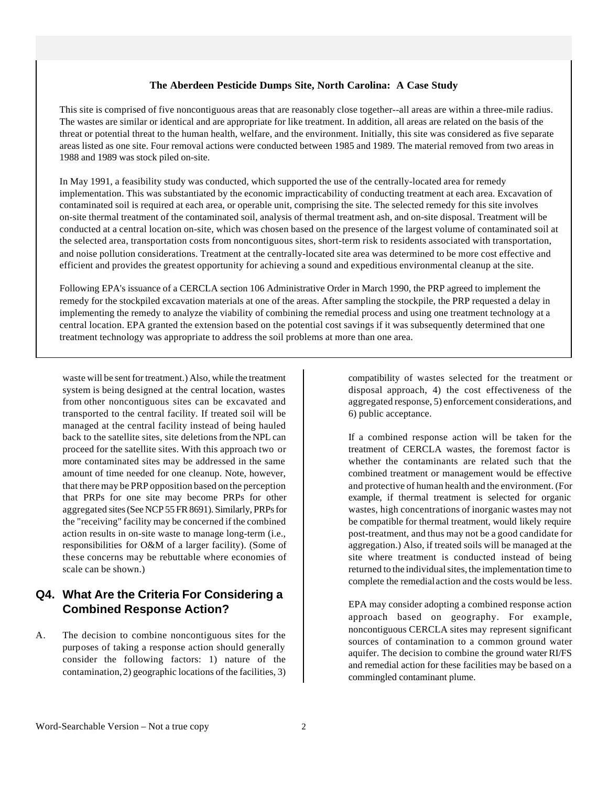#### **The Aberdeen Pesticide Dumps Site, North Carolina: A Case Study**

This site is comprised of five noncontiguous areas that are reasonably close together--all areas are within a three-mile radius. The wastes are similar or identical and are appropriate for like treatment. In addition, all areas are related on the basis of the threat or potential threat to the human health, welfare, and the environment. Initially, this site was considered as five separate areas listed as one site. Four removal actions were conducted between 1985 and 1989. The material removed from two areas in 1988 and 1989 was stock piled on-site.

In May 1991, a feasibility study was conducted, which supported the use of the centrally-located area for remedy implementation. This was substantiated by the economic impracticability of conducting treatment at each area. Excavation of contaminated soil is required at each area, or operable unit, comprising the site. The selected remedy for this site involves on-site thermal treatment of the contaminated soil, analysis of thermal treatment ash, and on-site disposal. Treatment will be conducted at a central location on-site, which was chosen based on the presence of the largest volume of contaminated soil at the selected area, transportation costs from noncontiguous sites, short-term risk to residents associated with transportation, and noise pollution considerations. Treatment at the centrally-located site area was determined to be more cost effective and efficient and provides the greatest opportunity for achieving a sound and expeditious environmental cleanup at the site.

Following EPA's issuance of a CERCLA section 106 Administrative Order in March 1990, the PRP agreed to implement the remedy for the stockpiled excavation materials at one of the areas. After sampling the stockpile, the PRP requested a delay in implementing the remedy to analyze the viability of combining the remedial process and using one treatment technology at a central location. EPA granted the extension based on the potential cost savings if it was subsequently determined that one treatment technology was appropriate to address the soil problems at more than one area.

waste will be sent for treatment.) Also, while the treatment system is being designed at the central location, wastes from other noncontiguous sites can be excavated and transported to the central facility. If treated soil will be managed at the central facility instead of being hauled back to the satellite sites, site deletions from the NPL can proceed for the satellite sites. With this approach two or more contaminated sites may be addressed in the same amount of time needed for one cleanup. Note, however, that there may be PRP opposition based on the perception that PRPs for one site may become PRPs for other aggregated sites (See NCP 55 FR 8691). Similarly, PRPs for the "receiving" facility may be concerned if the combined action results in on-site waste to manage long-term (i.e., responsibilities for O&M of a larger facility). (Some of these concerns may be rebuttable where economies of scale can be shown.)

### **Q4. What Are the Criteria For Considering a Combined Response Action?**

A. The decision to combine noncontiguous sites for the purposes of taking a response action should generally consider the following factors: 1) nature of the contamination, 2) geographic locations of the facilities, 3) compatibility of wastes selected for the treatment or disposal approach, 4) the cost effectiveness of the aggregated response, 5) enforcement considerations, and 6) public acceptance.

If a combined response action will be taken for the treatment of CERCLA wastes, the foremost factor is whether the contaminants are related such that the combined treatment or management would be effective and protective of human health and the environment. (For example, if thermal treatment is selected for organic wastes, high concentrations of inorganic wastes may not be compatible for thermal treatment, would likely require post-treatment, and thus may not be a good candidate for aggregation.) Also, if treated soils will be managed at the site where treatment is conducted instead of being returned to the individual sites, the implementation time to complete the remedial action and the costs would be less.

EPA may consider adopting a combined response action approach based on geography. For example, noncontiguous CERCLA sites may represent significant sources of contamination to a common ground water aquifer. The decision to combine the ground water RI/FS and remedial action for these facilities may be based on a commingled contaminant plume.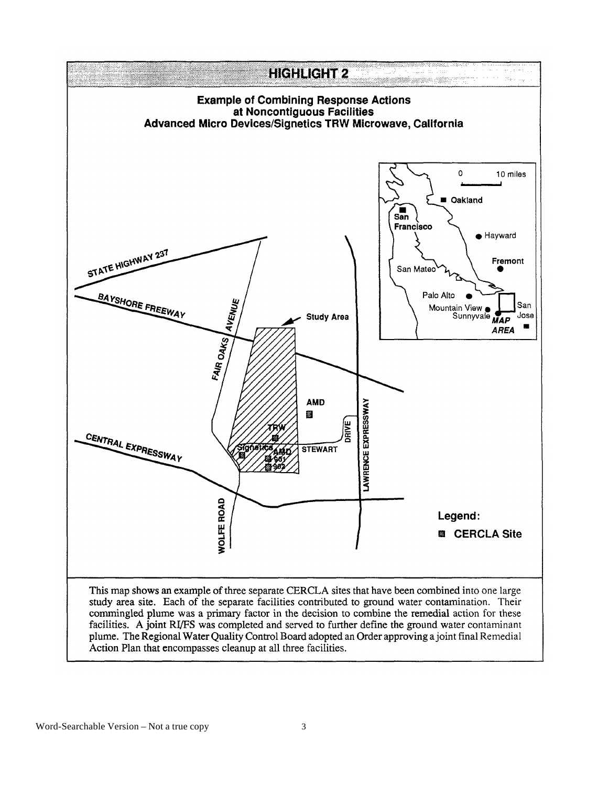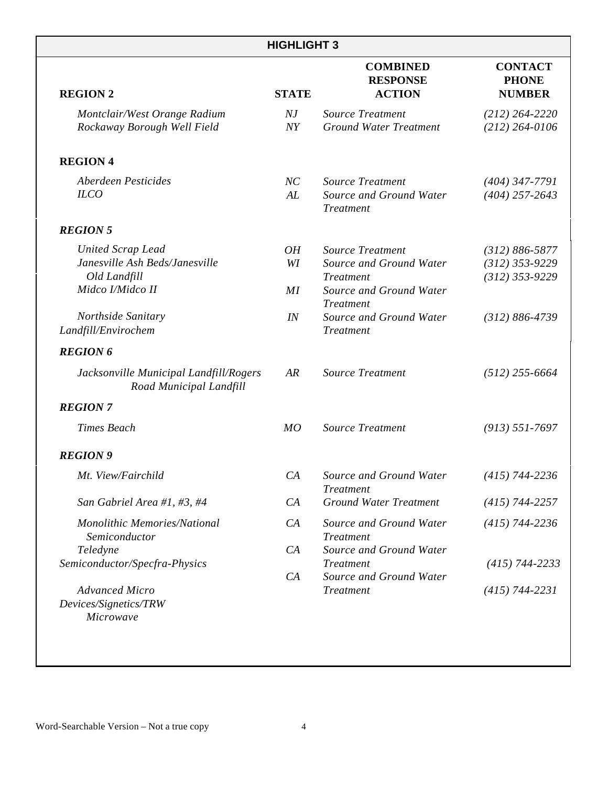| <b>HIGHLIGHT 3</b>                                                                             |                           |                                                                                                                       |                                                            |
|------------------------------------------------------------------------------------------------|---------------------------|-----------------------------------------------------------------------------------------------------------------------|------------------------------------------------------------|
| <b>REGION 2</b>                                                                                | <b>STATE</b>              | <b>COMBINED</b><br><b>RESPONSE</b><br><b>ACTION</b>                                                                   | <b>CONTACT</b><br><b>PHONE</b><br><b>NUMBER</b>            |
| Montclair/West Orange Radium<br>Rockaway Borough Well Field                                    | $N\!J$<br>$\overline{NY}$ | <b>Source Treatment</b><br><b>Ground Water Treatment</b>                                                              | $(212) 264 - 2220$<br>$(212) 264 - 0106$                   |
| <b>REGION 4</b>                                                                                |                           |                                                                                                                       |                                                            |
| Aberdeen Pesticides<br><b>ILCO</b>                                                             | NC<br>AL                  | <b>Source Treatment</b><br>Source and Ground Water<br><b>Treatment</b>                                                | $(404)$ 347-7791<br>$(404)$ 257-2643                       |
| <b>REGION 5</b>                                                                                |                           |                                                                                                                       |                                                            |
| <b>United Scrap Lead</b><br>Janesville Ash Beds/Janesville<br>Old Landfill<br>Midco I/Midco II | OH<br>WI<br>MI            | <b>Source Treatment</b><br>Source and Ground Water<br><b>Treatment</b><br>Source and Ground Water<br><b>Treatment</b> | $(312) 886 - 5877$<br>$(312)$ 353-9229<br>$(312)$ 353-9229 |
| Northside Sanitary<br>Landfill/Envirochem                                                      | IN                        | Source and Ground Water<br><b>Treatment</b>                                                                           | $(312) 886 - 4739$                                         |
| <b>REGION 6</b>                                                                                |                           |                                                                                                                       |                                                            |
| Jacksonville Municipal Landfill/Rogers<br>Road Municipal Landfill                              | AR                        | <b>Source Treatment</b>                                                                                               | $(512)$ 255-6664                                           |
| <b>REGION 7</b>                                                                                |                           |                                                                                                                       |                                                            |
| <b>Times Beach</b>                                                                             | MO                        | <b>Source Treatment</b>                                                                                               | $(913) 551 - 7697$                                         |
| <b>REGION 9</b>                                                                                |                           |                                                                                                                       |                                                            |
| Mt. View/Fairchild                                                                             | CA                        | Source and Ground Water<br><b>Treatment</b>                                                                           | $(415)$ 744-2236                                           |
| San Gabriel Area #1, #3, #4                                                                    | CA                        | <b>Ground Water Treatment</b>                                                                                         | $(415)$ 744-2257                                           |
| Monolithic Memories/National<br>Semiconductor                                                  | CA                        | Source and Ground Water<br><b>Treatment</b>                                                                           | $(415)$ 744-2236                                           |
| Teledyne<br>Semiconductor/Specfra-Physics                                                      | CA                        | Source and Ground Water<br><b>Treatment</b>                                                                           | $(415)$ 744-2233                                           |
| <b>Advanced Micro</b><br>Devices/Signetics/TRW<br>Microwave                                    | CA                        | Source and Ground Water<br><b>Treatment</b>                                                                           | $(415) 744 - 2231$                                         |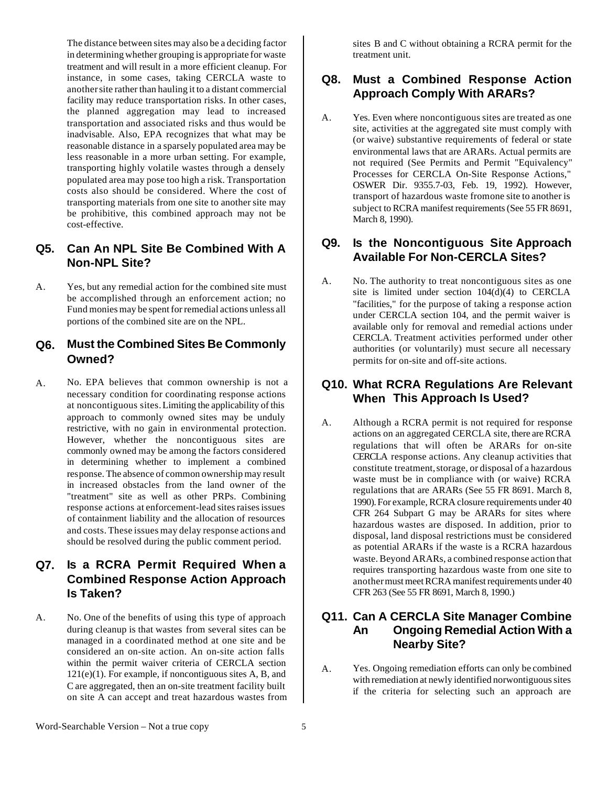The distance between sites may also be a deciding factor in determining whether grouping is appropriate for waste treatment and will result in a more efficient cleanup. For instance, in some cases, taking CERCLA waste to another site rather than hauling it to a distant commercial facility may reduce transportation risks. In other cases, the planned aggregation may lead to increased transportation and associated risks and thus would be inadvisable. Also, EPA recognizes that what may be reasonable distance in a sparsely populated area may be less reasonable in a more urban setting. For example, transporting highly volatile wastes through a densely populated area may pose too high a risk. Transportation costs also should be considered. Where the cost of transporting materials from one site to another site may be prohibitive, this combined approach may not be cost-effective.

### **Q5. Can An NPL Site Be Combined With A Non-NPL Site?**

A. Yes, but any remedial action for the combined site must be accomplished through an enforcement action; no Fund monies may be spent for remedial actions unless all portions of the combined site are on the NPL.

#### **Q6. Must the Combined Sites Be Commonly Owned?**

A. No. EPA believes that common ownership is not a necessary condition for coordinating response actions at noncontiguous sites. Limiting the applicability of this approach to commonly owned sites may be unduly restrictive, with no gain in environmental protection. However, whether the noncontiguous sites are commonly owned may be among the factors considered in determining whether to implement a combined response. The absence of common ownership may result in increased obstacles from the land owner of the "treatment" site as well as other PRPs. Combining response actions at enforcement-lead sites raises issues of containment liability and the allocation of resources and costs. These issues may delay response actions and should be resolved during the public comment period.

### **Q7. Is a RCRA Permit Required When a Combined Response Action Approach Is Taken?**

A. No. One of the benefits of using this type of approach during cleanup is that wastes from several sites can be managed in a coordinated method at one site and be considered an on-site action. An on-site action falls within the permit waiver criteria of CERCLA section 121(e)(1). For example, if noncontiguous sites A, B, and C are aggregated, then an on-site treatment facility built on site A can accept and treat hazardous wastes from sites B and C without obtaining a RCRA permit for the treatment unit.

### **Q8. Must a Combined Response Action Approach Comply With ARARs?**

A. Yes. Even where noncontiguous sites are treated as one site, activities at the aggregated site must comply with (or waive) substantive requirements of federal or state environmental laws that are ARARs. Actual permits are not required (See Permits and Permit "Equivalency" Processes for CERCLA On-Site Response Actions," OSWER Dir. 9355.7-03, Feb. 19, 1992). However, transport of hazardous waste fromone site to another is subject to RCRA manifest requirements (See 55 FR 8691, March 8, 1990).

#### **Q9. Is the Noncontiguous Site Approach Available For Non-CERCLA Sites?**

A. No. The authority to treat noncontiguous sites as one site is limited under section 104(d)(4) to CERCLA "facilities," for the purpose of taking a response action under CERCLA section 104, and the permit waiver is available only for removal and remedial actions under CERCLA. Treatment activities performed under other authorities (or voluntarily) must secure all necessary permits for on-site and off-site actions.

#### **Q10. What RCRA Regulations Are Relevant When This Approach Is Used?**

A. Although a RCRA permit is not required for response actions on an aggregated CERCLA site, there are RCRA regulations that will often be ARARs for on-site CERCLA response actions. Any cleanup activities that constitute treatment, storage, or disposal of a hazardous waste must be in compliance with (or waive) RCRA regulations that are ARARs (See 55 FR 8691. March 8, 1990). For example, RCRA closure requirements under 40 CFR 264 Subpart G may be ARARs for sites where hazardous wastes are disposed. In addition, prior to disposal, land disposal restrictions must be considered as potential ARARs if the waste is a RCRA hazardous waste. Beyond ARARs, a combined response action that requires transporting hazardous waste from one site to another must meet RCRA manifest requirements under 40 CFR 263 (See 55 FR 8691, March 8, 1990.)

#### **Q11. Can A CERCLA Site Manager Combine An Ongoing Remedial Action With a Nearby Site?**

A. Yes. Ongoing remediation efforts can only be combined with remediation at newly identified norwontiguous sites if the criteria for selecting such an approach are